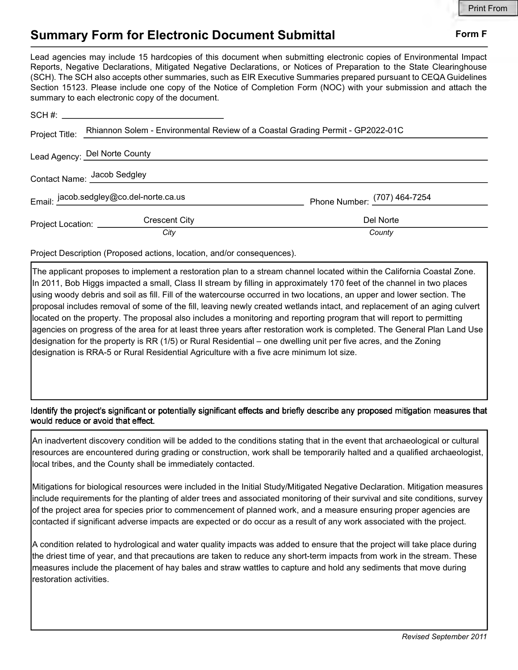## Summary Form for Electronic Document Submittal Form F

Lead agencies may include 15 hardcopies of this document when submitting electronic copies of Environmental Impact Reports, Negative Declarations, Mitigated Negative Declarations, or Notices of Preparation to the State Clearinghouse (SCH). The SCH also accepts other summaries, such as EIR Executive Summaries prepared pursuant to CEQA Guidelines Section 15123. Please include one copy of the Notice of Completion Form (NOC) with your submission and attach the summary to each electronic copy of the document.

| Project Title:                          | Rhiannon Solem - Environmental Review of a Coastal Grading Permit - GP2022-01C |                              |
|-----------------------------------------|--------------------------------------------------------------------------------|------------------------------|
|                                         | Lead Agency: Del Norte County                                                  |                              |
| Contact Name: Jacob Sedgley             |                                                                                |                              |
| Email: jacob.sedgley@co.del-norte.ca.us |                                                                                | Phone Number: (707) 464-7254 |
| Project Location: __________            | <b>Crescent City</b>                                                           | Del Norte                    |
|                                         | City                                                                           | County                       |

Project Description (Proposed actions, location, and/or consequences).

The applicant proposes to implement a restoration plan to a stream channel located within the California Coastal Zone. In 2011, Bob Higgs impacted a small, Class II stream by filling in approximately 170 feet of the channel in two places using woody debris and soil as fill. Fill of the watercourse occurred in two locations, an upper and lower section. The proposal includes removal of some of the fill, leaving newly created wetlands intact, and replacement of an aging culvert located on the property. The proposal also includes a monitoring and reporting program that will report to permitting agencies on progress of the area for at least three years after restoration work is completed. The General Plan Land Use designation for the property is RR (1/5) or Rural Residential – one dwelling unit per five acres, and the Zoning designation is RRA-5 or Rural Residential Agriculture with a five acre minimum lot size.

Identify the project's significant or potentially significant effects and briefly describe any proposed mitigation measures that would reduce or avoid that effect.

An inadvertent discovery condition will be added to the conditions stating that in the event that archaeological or cultural resources are encountered during grading or construction, work shall be temporarily halted and a qualified archaeologist, local tribes, and the County shall be immediately contacted.

Mitigations for biological resources were included in the Initial Study/Mitigated Negative Declaration. Mitigation measures include requirements for the planting of alder trees and associated monitoring of their survival and site conditions, survey of the project area for species prior to commencement of planned work, and a measure ensuring proper agencies are contacted if significant adverse impacts are expected or do occur as a result of any work associated with the project.

A condition related to hydrological and water quality impacts was added to ensure that the project will take place during the driest time of year, and that precautions are taken to reduce any short-term impacts from work in the stream. These measures include the placement of hay bales and straw wattles to capture and hold any sediments that move during restoration activities.